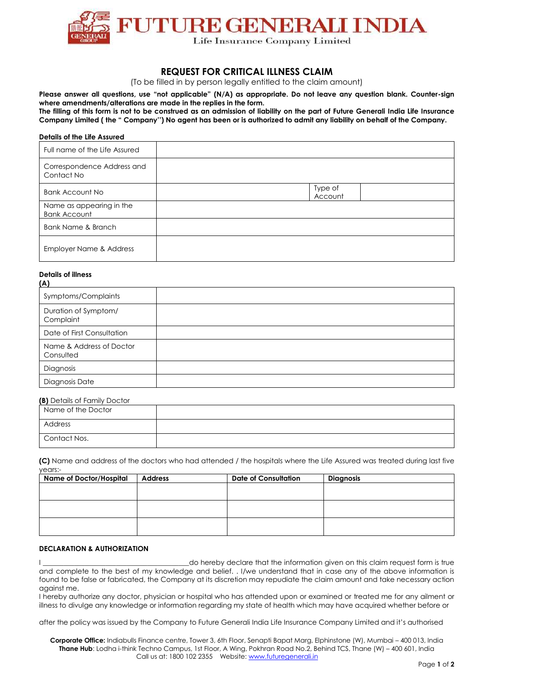

# **REQUEST FOR CRITICAL ILLNESS CLAIM**

(To be filled in by person legally entitled to the claim amount)

**Please answer all questions, use "not applicable" (N/A) as appropriate. Do not leave any question blank. Counter-sign where amendments/alterations are made in the replies in the form. The filling of this form is not to be construed as an admission of liability on the part of Future Generali India Life Insurance** 

**Company Limited ( the " Company'') No agent has been or is authorized to admit any liability on behalf of the Company.**

#### **Details of the Life Assured**

| Full name of the Life Assured                   |                    |
|-------------------------------------------------|--------------------|
| Correspondence Address and<br>Contact No        |                    |
| <b>Bank Account No</b>                          | Type of<br>Account |
| Name as appearing in the<br><b>Bank Account</b> |                    |
| Bank Name & Branch                              |                    |
| Employer Name & Address                         |                    |

## **Details of illness**

| (A)                                   |  |
|---------------------------------------|--|
| Symptoms/Complaints                   |  |
| Duration of Symptom/<br>Complaint     |  |
| Date of First Consultation            |  |
| Name & Address of Doctor<br>Consulted |  |
| Diagnosis                             |  |
| Diagnosis Date                        |  |

### **(B)** Details of Family Doctor

| Name of the Doctor |  |
|--------------------|--|
| Address            |  |
| Contact Nos.       |  |

**(C)** Name and address of the doctors who had attended / the hospitals where the Life Assured was treated during last five years:-

| <b>Name of Doctor/Hospital</b> | <b>Address</b> | <b>Date of Consultation</b> | Diagnosis |
|--------------------------------|----------------|-----------------------------|-----------|
|                                |                |                             |           |
|                                |                |                             |           |
|                                |                |                             |           |
|                                |                |                             |           |
|                                |                |                             |           |
|                                |                |                             |           |

### **DECLARATION & AUTHORIZATION**

I \_\_\_\_\_\_\_\_\_\_\_\_\_\_\_\_\_\_\_\_\_\_\_\_\_\_\_\_\_\_\_\_\_\_\_\_\_\_\_\_\_\_do hereby declare that the information given on this claim request form is true and complete to the best of my knowledge and belief. . I/we understand that in case any of the above information is found to be false or fabricated, the Company at its discretion may repudiate the claim amount and take necessary action against me.

I hereby authorize any doctor, physician or hospital who has attended upon or examined or treated me for any ailment or illness to divulge any knowledge or information regarding my state of health which may have acquired whether before or

after the policy was issued by the Company to Future Generali India Life Insurance Company Limited and it's authorised

**Corporate Office:** Indiabulls Finance centre, Tower 3, 6th Floor, Senapti Bapat Marg, Elphinstone (W), Mumbai – 400 013, India **Thane Hub**: Lodha i-think Techno Campus, 1st Floor, A Wing, Pokhran Road No.2, Behind TCS, Thane (W) – 400 601, India Call us at: 1800 102 2355 Website[: www.futuregenerali.in](http://www.futuregenerali.in/)